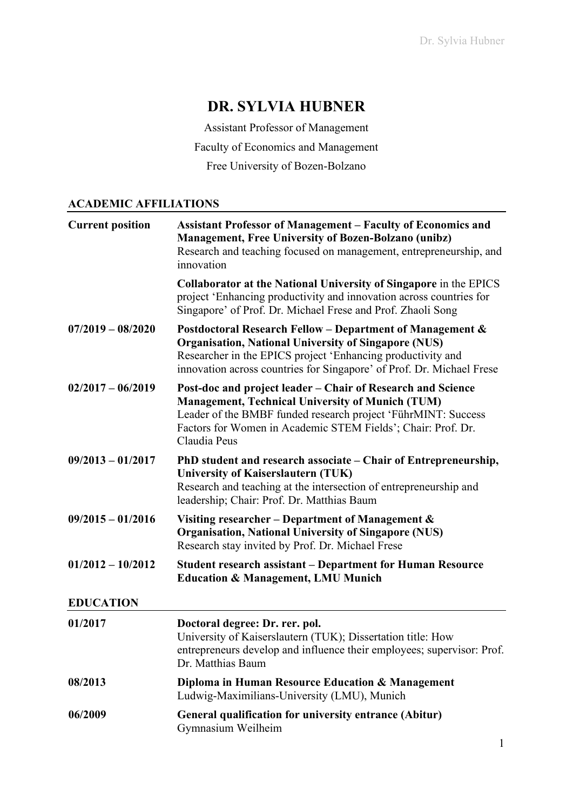# **DR. SYLVIA HUBNER**

Assistant Professor of Management

Faculty of Economics and Management

Free University of Bozen-Bolzano

### **ACADEMIC AFFILIATIONS**

| <b>Current position</b> | <b>Assistant Professor of Management - Faculty of Economics and</b><br><b>Management, Free University of Bozen-Bolzano (unibz)</b><br>Research and teaching focused on management, entrepreneurship, and<br>innovation                                                  |
|-------------------------|-------------------------------------------------------------------------------------------------------------------------------------------------------------------------------------------------------------------------------------------------------------------------|
|                         | Collaborator at the National University of Singapore in the EPICS<br>project 'Enhancing productivity and innovation across countries for<br>Singapore' of Prof. Dr. Michael Frese and Prof. Zhaoli Song                                                                 |
| $07/2019 - 08/2020$     | Postdoctoral Research Fellow - Department of Management &<br><b>Organisation, National University of Singapore (NUS)</b><br>Researcher in the EPICS project 'Enhancing productivity and<br>innovation across countries for Singapore' of Prof. Dr. Michael Frese        |
| $02/2017 - 06/2019$     | Post-doc and project leader – Chair of Research and Science<br><b>Management, Technical University of Munich (TUM)</b><br>Leader of the BMBF funded research project 'FührMINT: Success<br>Factors for Women in Academic STEM Fields'; Chair: Prof. Dr.<br>Claudia Peus |
| $09/2013 - 01/2017$     | PhD student and research associate – Chair of Entrepreneurship,<br><b>University of Kaiserslautern (TUK)</b><br>Research and teaching at the intersection of entrepreneurship and<br>leadership; Chair: Prof. Dr. Matthias Baum                                         |
| $09/2015 - 01/2016$     | Visiting researcher – Department of Management $\&$<br><b>Organisation, National University of Singapore (NUS)</b><br>Research stay invited by Prof. Dr. Michael Frese                                                                                                  |
| $01/2012 - 10/2012$     | <b>Student research assistant – Department for Human Resource</b><br><b>Education &amp; Management, LMU Munich</b>                                                                                                                                                      |
| <b>EDUCATION</b>        |                                                                                                                                                                                                                                                                         |
| 01/2017                 | Doctoral degree: Dr. rer. pol.<br>University of Kaiserslautern (TUK); Dissertation title: How<br>entrepreneurs develop and influence their employees; supervisor: Prof.<br>Dr. Matthias Baum                                                                            |
| 08/2013                 | Diploma in Human Resource Education & Management<br>Ludwig-Maximilians-University (LMU), Munich                                                                                                                                                                         |
| 06/2009                 | General qualification for university entrance (Abitur)<br>Gymnasium Weilheim                                                                                                                                                                                            |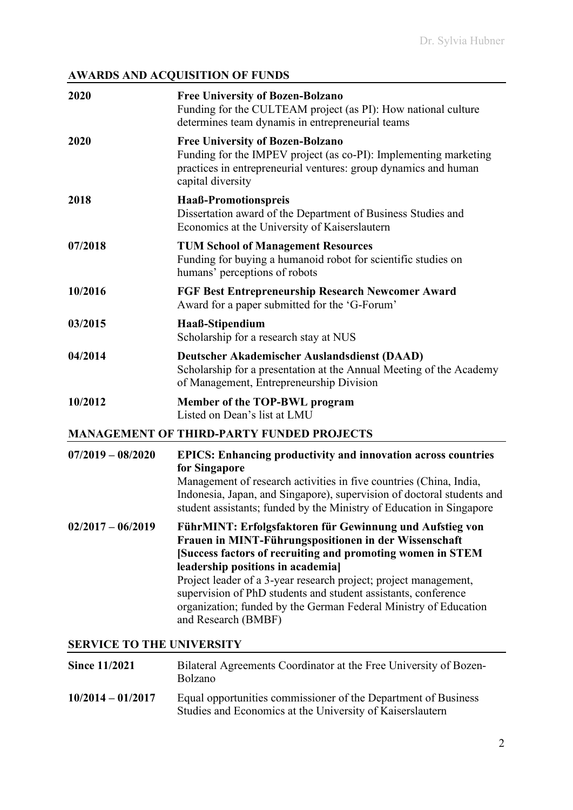# **AWARDS AND ACQUISITION OF FUNDS**

|                                  | AWARDS AND ACQUISITION OF FUNDS                                                                                                                                                                                                                                                                                                                                                                                                                       |
|----------------------------------|-------------------------------------------------------------------------------------------------------------------------------------------------------------------------------------------------------------------------------------------------------------------------------------------------------------------------------------------------------------------------------------------------------------------------------------------------------|
| 2020                             | <b>Free University of Bozen-Bolzano</b><br>Funding for the CULTEAM project (as PI): How national culture<br>determines team dynamis in entrepreneurial teams                                                                                                                                                                                                                                                                                          |
| 2020                             | <b>Free University of Bozen-Bolzano</b><br>Funding for the IMPEV project (as co-PI): Implementing marketing<br>practices in entrepreneurial ventures: group dynamics and human<br>capital diversity                                                                                                                                                                                                                                                   |
| 2018                             | Haaß-Promotionspreis<br>Dissertation award of the Department of Business Studies and<br>Economics at the University of Kaiserslautern                                                                                                                                                                                                                                                                                                                 |
| 07/2018                          | <b>TUM School of Management Resources</b><br>Funding for buying a humanoid robot for scientific studies on<br>humans' perceptions of robots                                                                                                                                                                                                                                                                                                           |
| 10/2016                          | <b>FGF Best Entrepreneurship Research Newcomer Award</b><br>Award for a paper submitted for the 'G-Forum'                                                                                                                                                                                                                                                                                                                                             |
| 03/2015                          | Haaß-Stipendium<br>Scholarship for a research stay at NUS                                                                                                                                                                                                                                                                                                                                                                                             |
| 04/2014                          | Deutscher Akademischer Auslandsdienst (DAAD)<br>Scholarship for a presentation at the Annual Meeting of the Academy<br>of Management, Entrepreneurship Division                                                                                                                                                                                                                                                                                       |
| 10/2012                          | Member of the TOP-BWL program<br>Listed on Dean's list at LMU                                                                                                                                                                                                                                                                                                                                                                                         |
|                                  | <b>MANAGEMENT OF THIRD-PARTY FUNDED PROJECTS</b>                                                                                                                                                                                                                                                                                                                                                                                                      |
| $07/2019 - 08/2020$              | <b>EPICS: Enhancing productivity and innovation across countries</b><br>for Singapore<br>Management of research activities in five countries (China, India,<br>Indonesia, Japan, and Singapore), supervision of doctoral students and<br>student assistants; funded by the Ministry of Education in Singapore                                                                                                                                         |
| $02/2017 - 06/2019$              | FührMINT: Erfolgsfaktoren für Gewinnung und Aufstieg von<br>Frauen in MINT-Führungspositionen in der Wissenschaft<br>[Success factors of recruiting and promoting women in STEM<br>leadership positions in academia]<br>Project leader of a 3-year research project; project management,<br>supervision of PhD students and student assistants, conference<br>organization; funded by the German Federal Ministry of Education<br>and Research (BMBF) |
| <b>SERVICE TO THE UNIVERSITY</b> |                                                                                                                                                                                                                                                                                                                                                                                                                                                       |
| <b>Since 11/2021</b>             | Bilateral Agreements Coordinator at the Free University of Bozen-<br>Bolzano                                                                                                                                                                                                                                                                                                                                                                          |

**10/2014 – 01/2017** Equal opportunities commissioner of the Department of Business Studies and Economics at the University of Kaiserslautern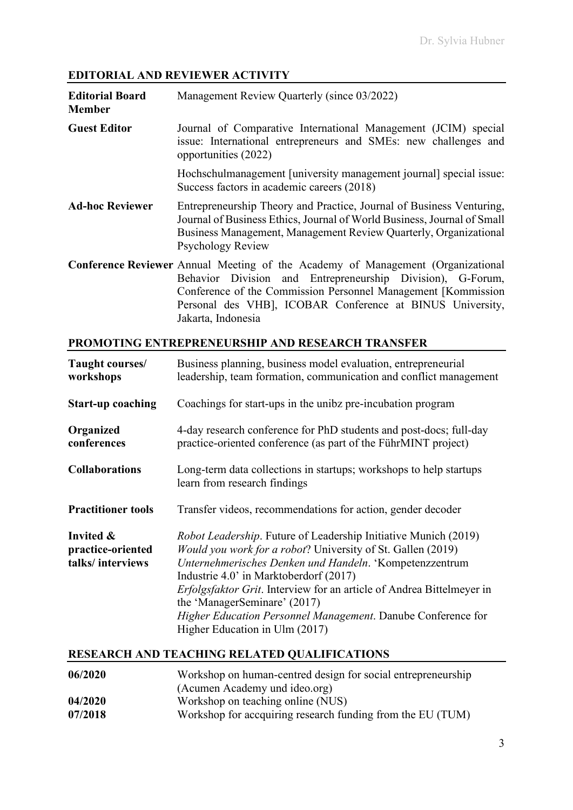# **EDITORIAL AND REVIEWER ACTIVITY**

| <b>Editorial Board</b><br><b>Member</b> | Management Review Quarterly (since 03/2022)                                                                                                                                                                                                                                         |
|-----------------------------------------|-------------------------------------------------------------------------------------------------------------------------------------------------------------------------------------------------------------------------------------------------------------------------------------|
| <b>Guest Editor</b>                     | Journal of Comparative International Management (JCIM) special<br>issue: International entrepreneurs and SMEs: new challenges and<br>opportunities (2022)                                                                                                                           |
|                                         | Hochschulmanagement [university management journal] special issue:<br>Success factors in academic careers (2018)                                                                                                                                                                    |
| <b>Ad-hoc Reviewer</b>                  | Entrepreneurship Theory and Practice, Journal of Business Venturing,<br>Journal of Business Ethics, Journal of World Business, Journal of Small<br>Business Management, Management Review Quarterly, Organizational<br><b>Psychology Review</b>                                     |
|                                         | <b>Conference Reviewer</b> Annual Meeting of the Academy of Management (Organizational<br>Behavior Division and Entrepreneurship Division), G-Forum,<br>Conference of the Commission Personnel Management [Kommission]<br>Personal des VHB], ICOBAR Conference at BINUS University, |

### **PROMOTING ENTREPRENEURSHIP AND RESEARCH TRANSFER**

Jakarta, Indonesia

| Taught courses/<br>workshops                       | Business planning, business model evaluation, entrepreneurial<br>leadership, team formation, communication and conflict management                                                                                                                                                                                                                                                                                                                    |
|----------------------------------------------------|-------------------------------------------------------------------------------------------------------------------------------------------------------------------------------------------------------------------------------------------------------------------------------------------------------------------------------------------------------------------------------------------------------------------------------------------------------|
| <b>Start-up coaching</b>                           | Coachings for start-ups in the unibz pre-incubation program                                                                                                                                                                                                                                                                                                                                                                                           |
| Organized<br>conferences                           | 4-day research conference for PhD students and post-docs; full-day<br>practice-oriented conference (as part of the FührMINT project)                                                                                                                                                                                                                                                                                                                  |
| <b>Collaborations</b>                              | Long-term data collections in startups; workshops to help startups<br>learn from research findings                                                                                                                                                                                                                                                                                                                                                    |
| <b>Practitioner tools</b>                          | Transfer videos, recommendations for action, gender decoder                                                                                                                                                                                                                                                                                                                                                                                           |
| Invited &<br>practice-oriented<br>talks/interviews | <i>Robot Leadership.</i> Future of Leadership Initiative Munich (2019)<br>Would you work for a robot? University of St. Gallen (2019)<br>Unternehmerisches Denken und Handeln. 'Kompetenzzentrum<br>Industrie 4.0' in Marktoberdorf (2017)<br>Erfolgsfaktor Grit. Interview for an article of Andrea Bittelmeyer in<br>the 'ManagerSeminare' (2017)<br>Higher Education Personnel Management. Danube Conference for<br>Higher Education in Ulm (2017) |

## **RESEARCH AND TEACHING RELATED QUALIFICATIONS**

| 06/2020 | Workshop on human-centred design for social entrepreneurship |
|---------|--------------------------------------------------------------|
|         | (Acumen Academy und ideo.org)                                |
| 04/2020 | Workshop on teaching online (NUS)                            |
| 07/2018 | Workshop for accquiring research funding from the EU (TUM)   |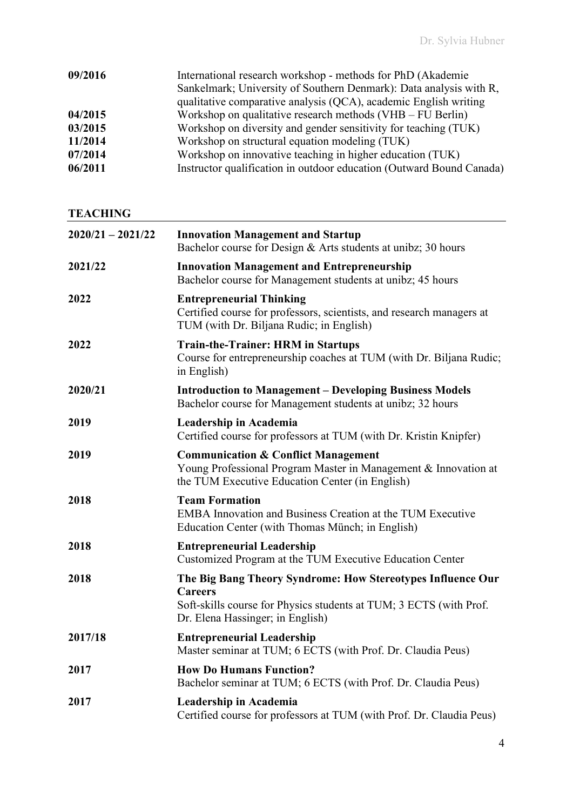| 09/2016 | International research workshop - methods for PhD (Akademie)<br>Sankelmark; University of Southern Denmark): Data analysis with R,<br>qualitative comparative analysis (QCA), academic English writing |
|---------|--------------------------------------------------------------------------------------------------------------------------------------------------------------------------------------------------------|
| 04/2015 | Workshop on qualitative research methods $(VHB - FU$ Berlin)                                                                                                                                           |
| 03/2015 | Workshop on diversity and gender sensitivity for teaching (TUK)                                                                                                                                        |
| 11/2014 | Workshop on structural equation modeling (TUK)                                                                                                                                                         |
| 07/2014 | Workshop on innovative teaching in higher education (TUK)                                                                                                                                              |
| 06/2011 | Instructor qualification in outdoor education (Outward Bound Canada)                                                                                                                                   |

**TEACHING** 

| $2020/21 - 2021/22$ | <b>Innovation Management and Startup</b><br>Bachelor course for Design & Arts students at unibz; 30 hours                                                                               |
|---------------------|-----------------------------------------------------------------------------------------------------------------------------------------------------------------------------------------|
| 2021/22             | <b>Innovation Management and Entrepreneurship</b><br>Bachelor course for Management students at unibz; 45 hours                                                                         |
| 2022                | <b>Entrepreneurial Thinking</b><br>Certified course for professors, scientists, and research managers at<br>TUM (with Dr. Biljana Rudic; in English)                                    |
| 2022                | <b>Train-the-Trainer: HRM in Startups</b><br>Course for entrepreneurship coaches at TUM (with Dr. Biljana Rudic;<br>in English)                                                         |
| 2020/21             | <b>Introduction to Management – Developing Business Models</b><br>Bachelor course for Management students at unibz; 32 hours                                                            |
| 2019                | Leadership in Academia<br>Certified course for professors at TUM (with Dr. Kristin Knipfer)                                                                                             |
| 2019                | <b>Communication &amp; Conflict Management</b><br>Young Professional Program Master in Management & Innovation at<br>the TUM Executive Education Center (in English)                    |
| 2018                | <b>Team Formation</b><br><b>EMBA Innovation and Business Creation at the TUM Executive</b><br>Education Center (with Thomas Münch; in English)                                          |
| 2018                | <b>Entrepreneurial Leadership</b><br>Customized Program at the TUM Executive Education Center                                                                                           |
| 2018                | The Big Bang Theory Syndrome: How Stereotypes Influence Our<br><b>Careers</b><br>Soft-skills course for Physics students at TUM; 3 ECTS (with Prof.<br>Dr. Elena Hassinger; in English) |
| 2017/18             | <b>Entrepreneurial Leadership</b><br>Master seminar at TUM; 6 ECTS (with Prof. Dr. Claudia Peus)                                                                                        |
| 2017                | <b>How Do Humans Function?</b><br>Bachelor seminar at TUM; 6 ECTS (with Prof. Dr. Claudia Peus)                                                                                         |
| 2017                | Leadership in Academia<br>Certified course for professors at TUM (with Prof. Dr. Claudia Peus)                                                                                          |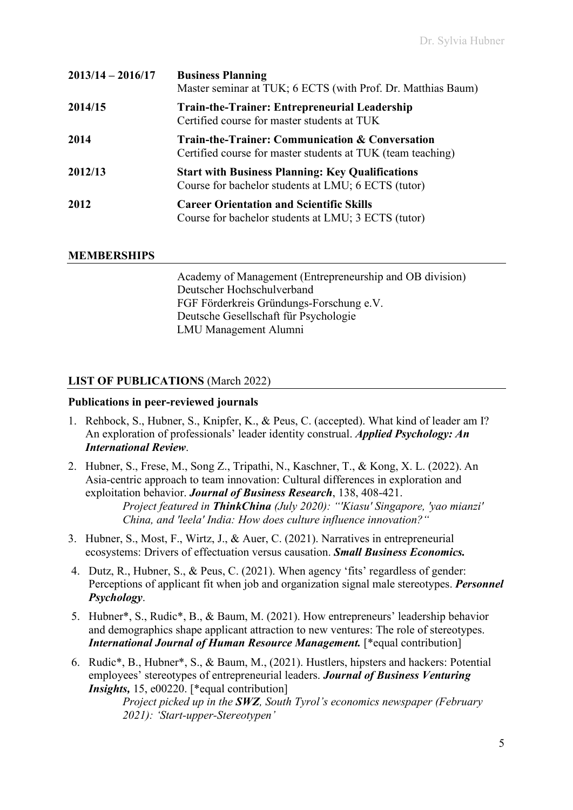| $2013/14 - 2016/17$ | <b>Business Planning</b><br>Master seminar at TUK; 6 ECTS (with Prof. Dr. Matthias Baum)                                  |
|---------------------|---------------------------------------------------------------------------------------------------------------------------|
| 2014/15             | <b>Train-the-Trainer: Entrepreneurial Leadership</b><br>Certified course for master students at TUK                       |
| 2014                | <b>Train-the-Trainer: Communication &amp; Conversation</b><br>Certified course for master students at TUK (team teaching) |
| 2012/13             | <b>Start with Business Planning: Key Qualifications</b><br>Course for bachelor students at LMU; 6 ECTS (tutor)            |
| 2012                | <b>Career Orientation and Scientific Skills</b><br>Course for bachelor students at LMU; 3 ECTS (tutor)                    |

#### **MEMBERSHIPS**

Academy of Management (Entrepreneurship and OB division) Deutscher Hochschulverband FGF Förderkreis Gründungs-Forschung e.V. Deutsche Gesellschaft für Psychologie LMU Management Alumni

### **LIST OF PUBLICATIONS** (March 2022)

#### **Publications in peer-reviewed journals**

- 1. Rehbock, S., Hubner, S., Knipfer, K., & Peus, C. (accepted). What kind of leader am I? An exploration of professionals' leader identity construal. *Applied Psychology: An International Review*.
- 2. Hubner, S., Frese, M., Song Z., Tripathi, N., Kaschner, T., & Kong, X. L. (2022). An Asia-centric approach to team innovation: Cultural differences in exploration and exploitation behavior. *Journal of Business Research*, 138, 408-421. *Project featured in ThinkChina (July 2020): "'Kiasu' Singapore, 'yao mianzi' China, and 'leela' India: How does culture influence innovation?"*
- 3. Hubner, S., Most, F., Wirtz, J., & Auer, C. (2021). Narratives in entrepreneurial ecosystems: Drivers of effectuation versus causation. *Small Business Economics.*
- 4. Dutz, R., Hubner, S., & Peus, C. (2021). When agency 'fits' regardless of gender: Perceptions of applicant fit when job and organization signal male stereotypes. *Personnel Psychology*.
- 5. Hubner\*, S., Rudic\*, B., & Baum, M. (2021). How entrepreneurs' leadership behavior and demographics shape applicant attraction to new ventures: The role of stereotypes. *International Journal of Human Resource Management.* [\*equal contribution]
- 6. Rudic\*, B., Hubner\*, S., & Baum, M., (2021). Hustlers, hipsters and hackers: Potential employees' stereotypes of entrepreneurial leaders. *Journal of Business Venturing Insights, 15, e00220.* [\*equal contribution]

*Project picked up in the SWZ, South Tyrol's economics newspaper (February 2021): 'Start-upper-Stereotypen'*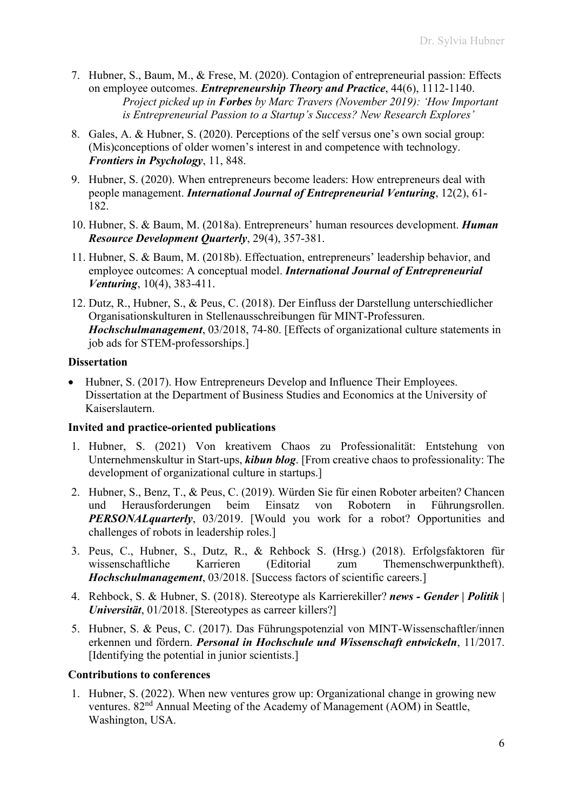- 7. Hubner, S., Baum, M., & Frese, M. (2020). Contagion of entrepreneurial passion: Effects on employee outcomes. *Entrepreneurship Theory and Practice*, [44\(6\),](https://doi.org/10.1177/1042258719883995) 1112-1140. *Project picked up in Forbes by Marc Travers (November 2019): 'How Important is Entrepreneurial Passion to a Startup's Success? New Research Explores'*
- 8. Gales, A. & Hubner, S. (2020). Perceptions of the self versus one's own social group: (Mis)conceptions of older women's interest in and competence with technology. *Frontiers in Psychology*, 11, 848.
- 9. Hubner, S. (2020). When entrepreneurs become leaders: How entrepreneurs deal with people management. *International Journal of Entrepreneurial Venturing*, 12(2), 61- 182.
- 10. Hubner, S. & Baum, M. (2018a). Entrepreneurs' human resources development. *Human Resource Development Quarterly*, 29(4), 357-381.
- 11. Hubner, S. & Baum, M. (2018b). Effectuation, entrepreneurs' leadership behavior, and employee outcomes: A conceptual model. *International Journal of Entrepreneurial Venturing*, 10(4), 383-411.
- 12. Dutz, R., Hubner, S., & Peus, C. (2018). Der Einfluss der Darstellung unterschiedlicher Organisationskulturen in Stellenausschreibungen für MINT-Professuren. *Hochschulmanagement*, 03/2018, 74-80. [Effects of organizational culture statements in job ads for STEM-professorships.]

#### **Dissertation**

• Hubner, S. (2017). How Entrepreneurs Develop and Influence Their Employees. Dissertation at the Department of Business Studies and Economics at the University of Kaiserslautern.

#### **Invited and practice-oriented publications**

- 1. Hubner, S. (2021) Von kreativem Chaos zu Professionalität: Entstehung von Unternehmenskultur in Start-ups, *kibun blog*. [From creative chaos to professionality: The development of organizational culture in startups.]
- 2. Hubner, S., Benz, T., & Peus, C. (2019). Würden Sie für einen Roboter arbeiten? Chancen und Herausforderungen beim Einsatz von Robotern in Führungsrollen. *PERSONALquarterly*, 03/2019. [Would you work for a robot? Opportunities and challenges of robots in leadership roles.]
- 3. Peus, C., Hubner, S., Dutz, R., & Rehbock S. (Hrsg.) (2018). Erfolgsfaktoren für wissenschaftliche Karrieren (Editorial zum Themenschwerpunktheft). *Hochschulmanagement*, 03/2018. [Success factors of scientific careers.]
- 4. Rehbock, S. & Hubner, S. (2018). Stereotype als Karrierekiller? *news - Gender | Politik | Universität*, 01/2018. [Stereotypes as carreer killers?]
- 5. Hubner, S. & Peus, C. (2017). Das Führungspotenzial von MINT-Wissenschaftler/innen erkennen und fördern. *Personal in Hochschule und Wissenschaft entwickeln*, 11/2017. [Identifying the potential in junior scientists.]

#### **Contributions to conferences**

1. Hubner, S. (2022). When new ventures grow up: Organizational change in growing new ventures. 82nd Annual Meeting of the Academy of Management (AOM) in Seattle, Washington, USA.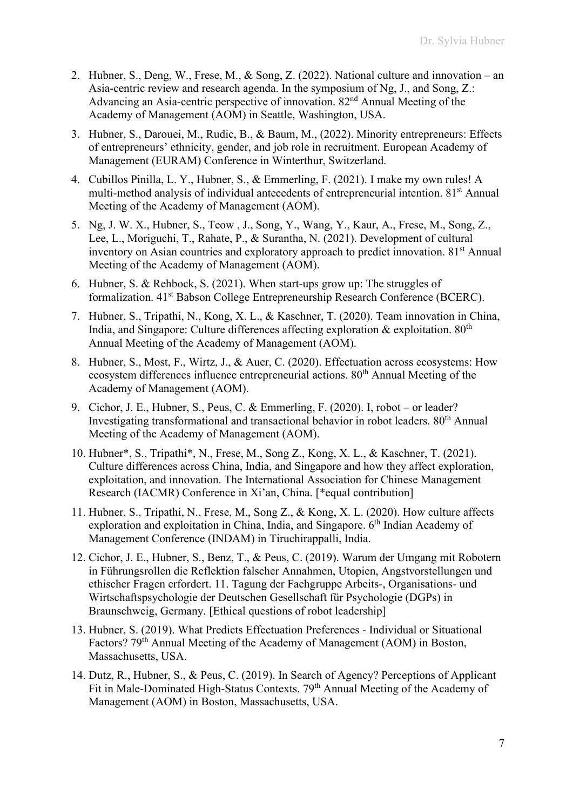- 2. Hubner, S., Deng, W., Frese, M., & Song, Z. (2022). National culture and innovation an Asia-centric review and research agenda. In the symposium of Ng, J., and Song, Z.: Advancing an Asia-centric perspective of innovation. 82<sup>nd</sup> Annual Meeting of the Academy of Management (AOM) in Seattle, Washington, USA.
- 3. Hubner, S., Darouei, M., Rudic, B., & Baum, M., (2022). Minority entrepreneurs: Effects of entrepreneurs' ethnicity, gender, and job role in recruitment. European Academy of Management (EURAM) Conference in Winterthur, Switzerland.
- 4. Cubillos Pinilla, L. Y., Hubner, S., & Emmerling, F. (2021). I make my own rules! A multi-method analysis of individual antecedents of entrepreneurial intention. 81<sup>st</sup> Annual Meeting of the Academy of Management (AOM).
- 5. Ng, J. W. X., Hubner, S., Teow , J., Song, Y., Wang, Y., Kaur, A., Frese, M., Song, Z., Lee, L., Moriguchi, T., Rahate, P., & Surantha, N. (2021). Development of cultural inventory on Asian countries and exploratory approach to predict innovation. 81<sup>st</sup> Annual Meeting of the Academy of Management (AOM).
- 6. Hubner, S. & Rehbock, S. (2021). When start-ups grow up: The struggles of formalization. 41st Babson College Entrepreneurship Research Conference (BCERC).
- 7. Hubner, S., Tripathi, N., Kong, X. L., & Kaschner, T. (2020). Team innovation in China, India, and Singapore: Culture differences affecting exploration  $\&$  exploitation.  $80<sup>th</sup>$ Annual Meeting of the Academy of Management (AOM).
- 8. Hubner, S., Most, F., Wirtz, J., & Auer, C. (2020). Effectuation across ecosystems: How ecosystem differences influence entrepreneurial actions.  $80<sup>th</sup>$  Annual Meeting of the Academy of Management (AOM).
- 9. Cichor, J. E., Hubner, S., Peus, C. & Emmerling, F. (2020). I, robot or leader? Investigating transformational and transactional behavior in robot leaders. 80th Annual Meeting of the Academy of Management (AOM).
- 10. Hubner\*, S., Tripathi\*, N., Frese, M., Song Z., Kong, X. L., & Kaschner, T. (2021). Culture differences across China, India, and Singapore and how they affect exploration, exploitation, and innovation. The International Association for Chinese Management Research (IACMR) Conference in Xi'an, China. [\*equal contribution]
- 11. Hubner, S., Tripathi, N., Frese, M., Song Z., & Kong, X. L. (2020). How culture affects exploration and exploitation in China, India, and Singapore. 6<sup>th</sup> Indian Academy of Management Conference (INDAM) in Tiruchirappalli, India.
- 12. Cichor, J. E., Hubner, S., Benz, T., & Peus, C. (2019). Warum der Umgang mit Robotern in Führungsrollen die Reflektion falscher Annahmen, Utopien, Angstvorstellungen und ethischer Fragen erfordert. 11. Tagung der Fachgruppe Arbeits-, Organisations- und Wirtschaftspsychologie der Deutschen Gesellschaft für Psychologie (DGPs) in Braunschweig, Germany. [Ethical questions of robot leadership]
- 13. Hubner, S. (2019). What Predicts Effectuation Preferences Individual or Situational Factors? 79<sup>th</sup> Annual Meeting of the Academy of Management (AOM) in Boston, Massachusetts, USA.
- 14. Dutz, R., Hubner, S., & Peus, C. (2019). In Search of Agency? Perceptions of Applicant Fit in Male-Dominated High-Status Contexts. 79<sup>th</sup> Annual Meeting of the Academy of Management (AOM) in Boston, Massachusetts, USA.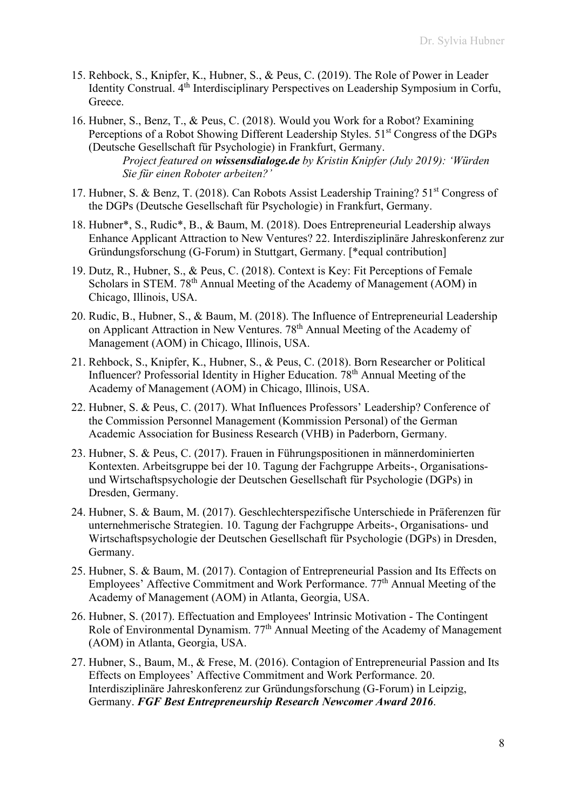- 15. Rehbock, S., Knipfer, K., Hubner, S., & Peus, C. (2019). The Role of Power in Leader Identity Construal. 4th Interdisciplinary Perspectives on Leadership Symposium in Corfu, Greece.
- 16. Hubner, S., Benz, T., & Peus, C. (2018). Would you Work for a Robot? Examining Perceptions of a Robot Showing Different Leadership Styles.  $51<sup>st</sup> Congress$  of the DGPs (Deutsche Gesellschaft für Psychologie) in Frankfurt, Germany. *Project featured on wissensdialoge.de by Kristin Knipfer (July 2019): 'Würden Sie für einen Roboter arbeiten?'*
- 17. Hubner, S. & Benz, T. (2018). Can Robots Assist Leadership Training? 51<sup>st</sup> Congress of the DGPs (Deutsche Gesellschaft für Psychologie) in Frankfurt, Germany.
- 18. Hubner\*, S., Rudic\*, B., & Baum, M. (2018). Does Entrepreneurial Leadership always Enhance Applicant Attraction to New Ventures? 22. Interdisziplinäre Jahreskonferenz zur Gründungsforschung (G-Forum) in Stuttgart, Germany. [\*equal contribution]
- 19. Dutz, R., Hubner, S., & Peus, C. (2018). Context is Key: Fit Perceptions of Female Scholars in STEM. 78<sup>th</sup> Annual Meeting of the Academy of Management (AOM) in Chicago, Illinois, USA.
- 20. Rudic, B., Hubner, S., & Baum, M. (2018). The Influence of Entrepreneurial Leadership on Applicant Attraction in New Ventures. 78th Annual Meeting of the Academy of Management (AOM) in Chicago, Illinois, USA.
- 21. Rehbock, S., Knipfer, K., Hubner, S., & Peus, C. (2018). Born Researcher or Political Influencer? Professorial Identity in Higher Education. 78th Annual Meeting of the Academy of Management (AOM) in Chicago, Illinois, USA.
- 22. Hubner, S. & Peus, C. (2017). What Influences Professors' Leadership? Conference of the Commission Personnel Management (Kommission Personal) of the German Academic Association for Business Research (VHB) in Paderborn, Germany.
- 23. Hubner, S. & Peus, C. (2017). Frauen in Führungspositionen in männerdominierten Kontexten. Arbeitsgruppe bei der 10. Tagung der Fachgruppe Arbeits-, Organisationsund Wirtschaftspsychologie der Deutschen Gesellschaft für Psychologie (DGPs) in Dresden, Germany.
- 24. Hubner, S. & Baum, M. (2017). Geschlechterspezifische Unterschiede in Präferenzen für unternehmerische Strategien. 10. Tagung der Fachgruppe Arbeits-, Organisations- und Wirtschaftspsychologie der Deutschen Gesellschaft für Psychologie (DGPs) in Dresden, Germany.
- 25. Hubner, S. & Baum, M. (2017). Contagion of Entrepreneurial Passion and Its Effects on Employees' Affective Commitment and Work Performance.  $77<sup>th</sup>$  Annual Meeting of the Academy of Management (AOM) in Atlanta, Georgia, USA.
- 26. Hubner, S. (2017). Effectuation and Employees' Intrinsic Motivation The Contingent Role of Environmental Dynamism. 77<sup>th</sup> Annual Meeting of the Academy of Management (AOM) in Atlanta, Georgia, USA.
- 27. Hubner, S., Baum, M., & Frese, M. (2016). Contagion of Entrepreneurial Passion and Its Effects on Employees' Affective Commitment and Work Performance. 20. Interdisziplinäre Jahreskonferenz zur Gründungsforschung (G-Forum) in Leipzig, Germany. *FGF Best Entrepreneurship Research Newcomer Award 2016*.